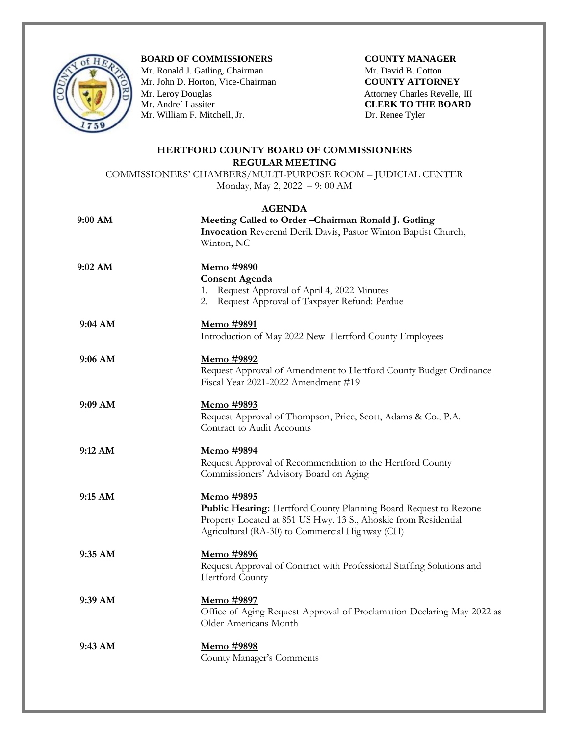

## **BOARD OF COMMISSIONERS COUNTY MANAGER**

Mr. Ronald J. Gatling, Chairman **Mr. David B. Cotton** Mr. John D. Horton, Vice-Chairman **COUNTY ATTORNEY** Mr. Leroy Douglas Attorney Charles Revelle, III Attorney Charles Revelle, III CLERK TO THE BOARD Mr. William F. Mitchell, Jr. Dr. Renee Tyler

**CLERK TO THE BOARD** 

## **HERTFORD COUNTY BOARD OF COMMISSIONERS REGULAR MEETING**

COMMISSIONERS' CHAMBERS/MULTI-PURPOSE ROOM – JUDICIAL CENTER Monday, May 2, 2022 – 9: 00 AM

## **AGENDA**

| 9:00 AM   | Meeting Called to Order - Chairman Ronald J. Gatling<br>Invocation Reverend Derik Davis, Pastor Winton Baptist Church,<br>Winton, NC                                                                 |
|-----------|------------------------------------------------------------------------------------------------------------------------------------------------------------------------------------------------------|
| 9:02 AM   | Memo #9890<br><b>Consent Agenda</b><br>1. Request Approval of April 4, 2022 Minutes<br>2. Request Approval of Taxpayer Refund: Perdue                                                                |
| 9:04 AM   | Memo #9891<br>Introduction of May 2022 New Hertford County Employees                                                                                                                                 |
| 9:06 AM   | <u>Memo</u> #9892<br>Request Approval of Amendment to Hertford County Budget Ordinance<br>Fiscal Year 2021-2022 Amendment #19                                                                        |
| $9:09$ AM | <u>Memo #9893</u><br>Request Approval of Thompson, Price, Scott, Adams & Co., P.A.<br>Contract to Audit Accounts                                                                                     |
| 9:12 AM   | Memo #9894<br>Request Approval of Recommendation to the Hertford County<br>Commissioners' Advisory Board on Aging                                                                                    |
| 9:15 AM   | Memo #9895<br>Public Hearing: Hertford County Planning Board Request to Rezone<br>Property Located at 851 US Hwy. 13 S., Ahoskie from Residential<br>Agricultural (RA-30) to Commercial Highway (CH) |
| 9:35 AM   | Memo #9896<br>Request Approval of Contract with Professional Staffing Solutions and<br><b>Hertford County</b>                                                                                        |
| 9:39 AM   | <u>Memo</u> #9897<br>Office of Aging Request Approval of Proclamation Declaring May 2022 as<br>Older Americans Month                                                                                 |
| 9:43 AM   | Memo #9898<br>County Manager's Comments                                                                                                                                                              |